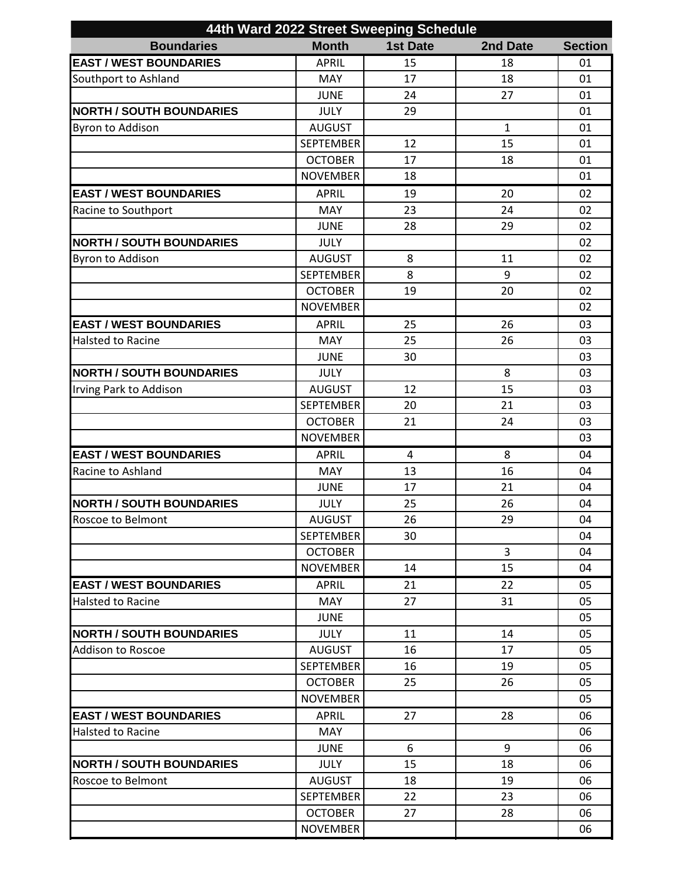| 44th Ward 2022 Street Sweeping Schedule |                  |                 |              |                |  |  |  |
|-----------------------------------------|------------------|-----------------|--------------|----------------|--|--|--|
| <b>Boundaries</b>                       | <b>Month</b>     | <b>1st Date</b> | 2nd Date     | <b>Section</b> |  |  |  |
| <b>EAST / WEST BOUNDARIES</b>           | <b>APRIL</b>     | 15              | 18           | 01             |  |  |  |
| Southport to Ashland                    | <b>MAY</b>       | 17              | 18           | 01             |  |  |  |
|                                         | <b>JUNE</b>      | 24              | 27           | 01             |  |  |  |
| <b>NORTH / SOUTH BOUNDARIES</b>         | <b>JULY</b>      | 29              |              | 01             |  |  |  |
| Byron to Addison                        | <b>AUGUST</b>    |                 | $\mathbf{1}$ | 01             |  |  |  |
|                                         | <b>SEPTEMBER</b> | 12              | 15           | 01             |  |  |  |
|                                         | <b>OCTOBER</b>   | 17              | 18           | 01             |  |  |  |
|                                         | <b>NOVEMBER</b>  | 18              |              | 01             |  |  |  |
| <b>EAST / WEST BOUNDARIES</b>           | <b>APRIL</b>     | 19              | 20           | 02             |  |  |  |
| Racine to Southport                     | <b>MAY</b>       | 23              | 24           | 02             |  |  |  |
|                                         | <b>JUNE</b>      | 28              | 29           | 02             |  |  |  |
| <b>NORTH / SOUTH BOUNDARIES</b>         | <b>JULY</b>      |                 |              | 02             |  |  |  |
| <b>Byron to Addison</b>                 | <b>AUGUST</b>    | 8               | 11           | 02             |  |  |  |
|                                         | <b>SEPTEMBER</b> | 8               | 9            | 02             |  |  |  |
|                                         | <b>OCTOBER</b>   | 19              | 20           | 02             |  |  |  |
|                                         | <b>NOVEMBER</b>  |                 |              | 02             |  |  |  |
| <b>EAST / WEST BOUNDARIES</b>           | <b>APRIL</b>     | 25              | 26           | 03             |  |  |  |
| <b>Halsted to Racine</b>                | <b>MAY</b>       | 25              | 26           | 03             |  |  |  |
|                                         | <b>JUNE</b>      | 30              |              | 03             |  |  |  |
| <b>NORTH / SOUTH BOUNDARIES</b>         | <b>JULY</b>      |                 | 8            | 03             |  |  |  |
| Irving Park to Addison                  | <b>AUGUST</b>    | 12              | 15           | 03             |  |  |  |
|                                         | <b>SEPTEMBER</b> | 20              | 21           | 03             |  |  |  |
|                                         | <b>OCTOBER</b>   | 21              | 24           | 03             |  |  |  |
|                                         | <b>NOVEMBER</b>  |                 |              | 03             |  |  |  |
| <b>EAST / WEST BOUNDARIES</b>           | <b>APRIL</b>     | $\overline{4}$  | 8            | 04             |  |  |  |
| Racine to Ashland                       | MAY              | 13              | 16           | 04             |  |  |  |
|                                         | <b>JUNE</b>      | 17              | 21           | 04             |  |  |  |
| <b>NORTH / SOUTH BOUNDARIES</b>         | <b>JULY</b>      | 25              | 26           | 04             |  |  |  |
| Roscoe to Belmont                       | <b>AUGUST</b>    | 26              | 29           | 04             |  |  |  |
|                                         | <b>SEPTEMBER</b> | 30              |              | 04             |  |  |  |
|                                         | <b>OCTOBER</b>   |                 | 3            | 04             |  |  |  |
|                                         | <b>NOVEMBER</b>  | 14              | 15           | 04             |  |  |  |
| <b>EAST / WEST BOUNDARIES</b>           | <b>APRIL</b>     | 21              | 22           | 05             |  |  |  |
| <b>Halsted to Racine</b>                | <b>MAY</b>       | 27              | 31           | 05             |  |  |  |
|                                         | <b>JUNE</b>      |                 |              | 05             |  |  |  |
| <b>NORTH / SOUTH BOUNDARIES</b>         | <b>JULY</b>      | 11              | 14           | 05             |  |  |  |
| <b>Addison to Roscoe</b>                | <b>AUGUST</b>    | 16              | 17           | 05             |  |  |  |
|                                         | <b>SEPTEMBER</b> | 16              | 19           | 05             |  |  |  |
|                                         | <b>OCTOBER</b>   | 25              | 26           | 05             |  |  |  |
|                                         | <b>NOVEMBER</b>  |                 |              | 05             |  |  |  |
| <b>EAST / WEST BOUNDARIES</b>           | <b>APRIL</b>     | 27              | 28           | 06             |  |  |  |
| Halsted to Racine                       | <b>MAY</b>       |                 |              | 06             |  |  |  |
|                                         | <b>JUNE</b>      | 6               | 9            | 06             |  |  |  |
| <b>NORTH / SOUTH BOUNDARIES</b>         | <b>JULY</b>      | 15              | 18           | 06             |  |  |  |
| Roscoe to Belmont                       | <b>AUGUST</b>    | 18              | 19           | 06             |  |  |  |
|                                         | <b>SEPTEMBER</b> | 22              | 23           | 06             |  |  |  |
|                                         | <b>OCTOBER</b>   | 27              | 28           | 06             |  |  |  |
|                                         | <b>NOVEMBER</b>  |                 |              | 06             |  |  |  |